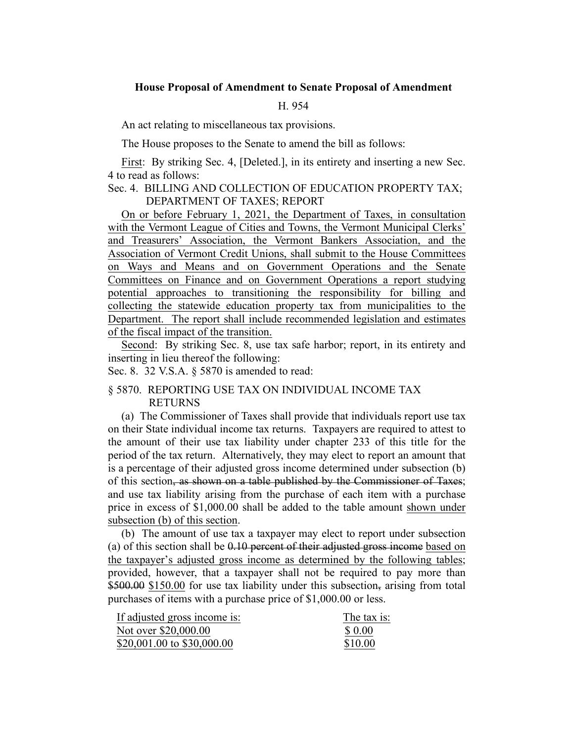# **House Proposal of Amendment to Senate Proposal of Amendment**

## H. 954

An act relating to miscellaneous tax provisions.

The House proposes to the Senate to amend the bill as follows:

First: By striking Sec. 4, [Deleted.], in its entirety and inserting a new Sec. 4 to read as follows:

# Sec. 4. BILLING AND COLLECTION OF EDUCATION PROPERTY TAX; DEPARTMENT OF TAXES; REPORT

On or before February 1, 2021, the Department of Taxes, in consultation with the Vermont League of Cities and Towns, the Vermont Municipal Clerks' and Treasurers' Association, the Vermont Bankers Association, and the Association of Vermont Credit Unions, shall submit to the House Committees on Ways and Means and on Government Operations and the Senate Committees on Finance and on Government Operations a report studying potential approaches to transitioning the responsibility for billing and collecting the statewide education property tax from municipalities to the Department. The report shall include recommended legislation and estimates of the fiscal impact of the transition.

Second: By striking Sec. 8, use tax safe harbor; report, in its entirety and inserting in lieu thereof the following:

Sec. 8. 32 V.S.A. § 5870 is amended to read:

# § 5870. REPORTING USE TAX ON INDIVIDUAL INCOME TAX RETURNS

(a) The Commissioner of Taxes shall provide that individuals report use tax on their State individual income tax returns. Taxpayers are required to attest to the amount of their use tax liability under chapter 233 of this title for the period of the tax return. Alternatively, they may elect to report an amount that is a percentage of their adjusted gross income determined under subsection (b) of this section, as shown on a table published by the Commissioner of Taxes; and use tax liability arising from the purchase of each item with a purchase price in excess of \$1,000.00 shall be added to the table amount shown under subsection (b) of this section.

(b) The amount of use tax a taxpayer may elect to report under subsection (a) of this section shall be  $0.10$  percent of their adjusted gross income based on the taxpayer's adjusted gross income as determined by the following tables; provided, however, that a taxpayer shall not be required to pay more than \$500.00 \$150.00 for use tax liability under this subsection, arising from total purchases of items with a purchase price of \$1,000.00 or less.

| If adjusted gross income is: | The tax is: |
|------------------------------|-------------|
| Not over \$20,000.00         | \$ 0.00     |
| \$20,001.00 to \$30,000.00   | \$10.00     |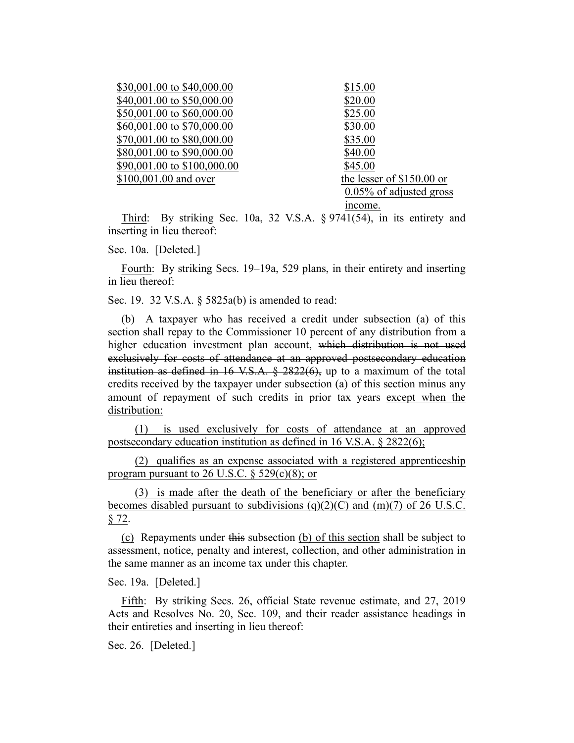| \$30,001.00 to \$40,000.00  | \$15.00                    |
|-----------------------------|----------------------------|
| \$40,001.00 to \$50,000.00  | \$20.00                    |
| \$50,001.00 to \$60,000.00  | \$25.00                    |
| \$60,001.00 to \$70,000.00  | \$30.00                    |
| \$70,001.00 to \$80,000.00  | \$35.00                    |
| \$80,001.00 to \$90,000.00  | \$40.00                    |
| \$90,001.00 to \$100,000.00 | \$45.00                    |
| \$100,001.00 and over       | the lesser of \$150.00 or  |
|                             | $0.05\%$ of adjusted gross |
|                             | income.                    |

Third: By striking Sec. 10a, 32 V.S.A. § 9741(54), in its entirety and inserting in lieu thereof:

Sec. 10a. [Deleted.]

Fourth: By striking Secs. 19–19a, 529 plans, in their entirety and inserting in lieu thereof:

Sec. 19. 32 V.S.A. § 5825a(b) is amended to read:

(b) A taxpayer who has received a credit under subsection (a) of this section shall repay to the Commissioner 10 percent of any distribution from a higher education investment plan account, which distribution is not used exclusively for costs of attendance at an approved postsecondary education institution as defined in 16 V.S.A.  $\S$  2822(6), up to a maximum of the total credits received by the taxpayer under subsection (a) of this section minus any amount of repayment of such credits in prior tax years except when the distribution:

(1) is used exclusively for costs of attendance at an approved postsecondary education institution as defined in 16 V.S.A. § 2822(6);

(2) qualifies as an expense associated with a registered apprenticeship program pursuant to 26 U.S.C.  $\S$  529(c)(8); or

(3) is made after the death of the beneficiary or after the beneficiary becomes disabled pursuant to subdivisions  $(q)(2)(C)$  and  $(m)(7)$  of 26 U.S.C. § 72.

(c) Repayments under this subsection (b) of this section shall be subject to assessment, notice, penalty and interest, collection, and other administration in the same manner as an income tax under this chapter.

Sec. 19a. [Deleted.]

Fifth: By striking Secs. 26, official State revenue estimate, and 27, 2019 Acts and Resolves No. 20, Sec. 109, and their reader assistance headings in their entireties and inserting in lieu thereof:

Sec. 26. [Deleted.]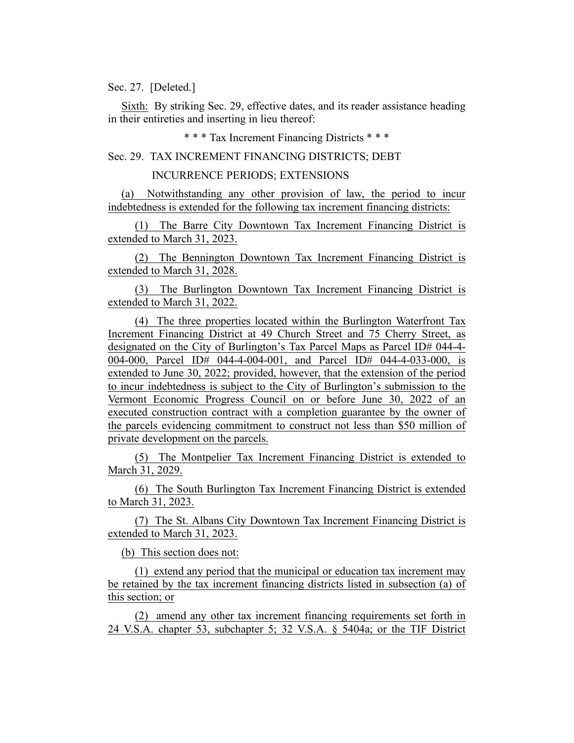# Sec. 27. [Deleted.]

Sixth: By striking Sec. 29, effective dates, and its reader assistance heading in their entireties and inserting in lieu thereof:

\* \* \* Tax Increment Financing Districts \* \* \*

#### Sec. 29. TAX INCREMENT FINANCING DISTRICTS; DEBT

## INCURRENCE PERIODS; EXTENSIONS

(a) Notwithstanding any other provision of law, the period to incur indebtedness is extended for the following tax increment financing districts:

(1) The Barre City Downtown Tax Increment Financing District is extended to March 31, 2023.

(2) The Bennington Downtown Tax Increment Financing District is extended to March 31, 2028.

(3) The Burlington Downtown Tax Increment Financing District is extended to March 31, 2022.

(4) The three properties located within the Burlington Waterfront Tax Increment Financing District at 49 Church Street and 75 Cherry Street, as designated on the City of Burlington's Tax Parcel Maps as Parcel ID# 044-4- 004-000, Parcel ID# 044-4-004-001, and Parcel ID# 044-4-033-000, is extended to June 30, 2022; provided, however, that the extension of the period to incur indebtedness is subject to the City of Burlington's submission to the Vermont Economic Progress Council on or before June 30, 2022 of an executed construction contract with a completion guarantee by the owner of the parcels evidencing commitment to construct not less than \$50 million of private development on the parcels.

(5) The Montpelier Tax Increment Financing District is extended to March 31, 2029.

(6) The South Burlington Tax Increment Financing District is extended to March 31, 2023.

(7) The St. Albans City Downtown Tax Increment Financing District is extended to March 31, 2023.

(b) This section does not:

(1) extend any period that the municipal or education tax increment may be retained by the tax increment financing districts listed in subsection (a) of this section; or

(2) amend any other tax increment financing requirements set forth in 24 V.S.A. chapter 53, subchapter 5; 32 V.S.A. § 5404a; or the TIF District